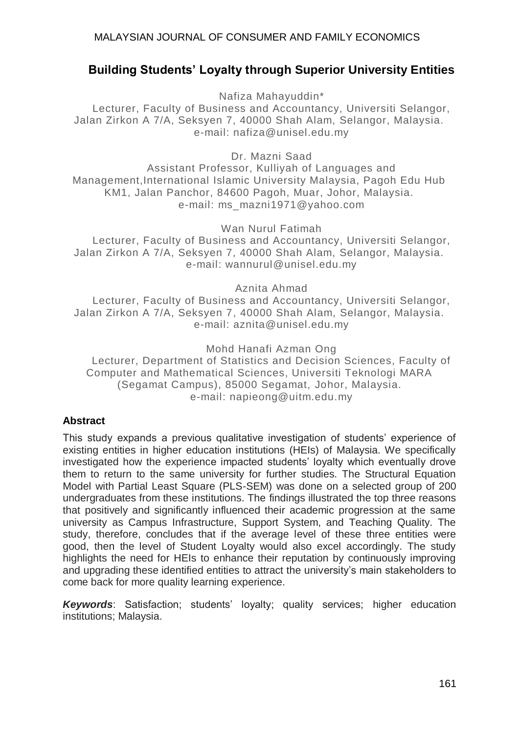# **Building Students' Loyalty through Superior University Entities**

Nafiza Mahayuddin\*

Lecturer, Faculty of Business and Accountancy, Universiti Selangor, Jalan Zirkon A 7/A, Seksyen 7, 40000 Shah Alam, Selangor, Malaysia. e-mail: nafiza@unisel.edu.my

Dr. Mazni Saad

Assistant Professor, Kulliyah of Languages and Management,International Islamic University Malaysia, Pagoh Edu Hub KM1, Jalan Panchor, 84600 Pagoh, Muar, Johor, Malaysia. e-mail: ms\_mazni1971@yahoo.com

Wan Nurul Fatimah Lecturer, Faculty of Business and Accountancy, Universiti Selangor, Jalan Zirkon A 7/A, Seksyen 7, 40000 Shah Alam, Selangor, Malaysia. e-mail: wannurul@unisel.edu.my

Aznita Ahmad

Lecturer, Faculty of Business and Accountancy, Universiti Selangor, Jalan Zirkon A 7/A, Seksyen 7, 40000 Shah Alam, Selangor, Malaysia. e-mail: aznita@unisel.edu.my

Mohd Hanafi Azman Ong

Lecturer, Department of Statistics and Decision Sciences, Faculty of Computer and Mathematical Sciences, Universiti Teknologi MARA (Segamat Campus), 85000 Segamat, Johor, Malaysia. e-mail: napieong@uitm.edu.my

## **Abstract**

This study expands a previous qualitative investigation of students' experience of existing entities in higher education institutions (HEIs) of Malaysia. We specifically investigated how the experience impacted students' loyalty which eventually drove them to return to the same university for further studies. The Structural Equation Model with Partial Least Square (PLS-SEM) was done on a selected group of 200 undergraduates from these institutions. The findings illustrated the top three reasons that positively and significantly influenced their academic progression at the same university as Campus Infrastructure, Support System, and Teaching Quality. The study, therefore, concludes that if the average level of these three entities were good, then the level of Student Loyalty would also excel accordingly. The study highlights the need for HEIs to enhance their reputation by continuously improving and upgrading these identified entities to attract the university's main stakeholders to come back for more quality learning experience.

*Keywords*: Satisfaction; students' loyalty; quality services; higher education institutions; Malaysia.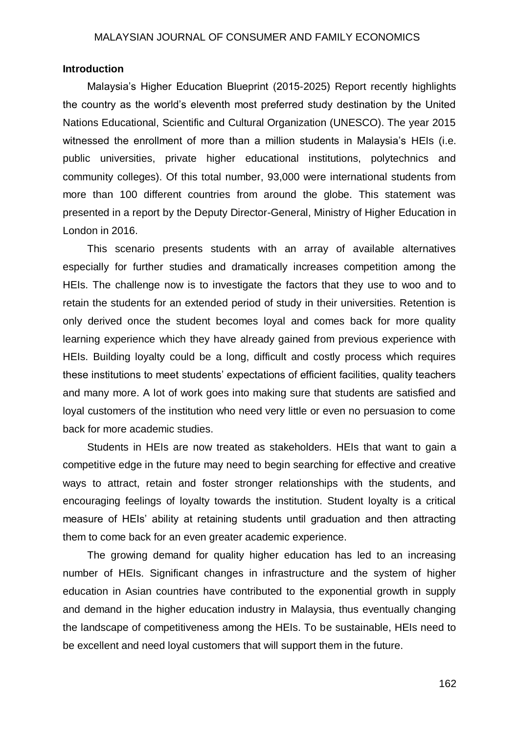### **Introduction**

Malaysia's Higher Education Blueprint (2015-2025) Report recently highlights the country as the world's eleventh most preferred study destination by the United Nations Educational, Scientific and Cultural Organization (UNESCO). The year 2015 witnessed the enrollment of more than a million students in Malaysia's HEIs (i.e. public universities, private higher educational institutions, polytechnics and community colleges). Of this total number, 93,000 were international students from more than 100 different countries from around the globe. This statement was presented in a report by the Deputy Director-General, Ministry of Higher Education in London in 2016.

This scenario presents students with an array of available alternatives especially for further studies and dramatically increases competition among the HEIs. The challenge now is to investigate the factors that they use to woo and to retain the students for an extended period of study in their universities. Retention is only derived once the student becomes loyal and comes back for more quality learning experience which they have already gained from previous experience with HEIs. Building loyalty could be a long, difficult and costly process which requires these institutions to meet students' expectations of efficient facilities, quality teachers and many more. A lot of work goes into making sure that students are satisfied and loyal customers of the institution who need very little or even no persuasion to come back for more academic studies.

Students in HEIs are now treated as stakeholders. HEIs that want to gain a competitive edge in the future may need to begin searching for effective and creative ways to attract, retain and foster stronger relationships with the students, and encouraging feelings of loyalty towards the institution. Student loyalty is a critical measure of HEIs' ability at retaining students until graduation and then attracting them to come back for an even greater academic experience.

The growing demand for quality higher education has led to an increasing number of HEIs. Significant changes in infrastructure and the system of higher education in Asian countries have contributed to the exponential growth in supply and demand in the higher education industry in Malaysia, thus eventually changing the landscape of competitiveness among the HEIs. To be sustainable, HEIs need to be excellent and need loyal customers that will support them in the future.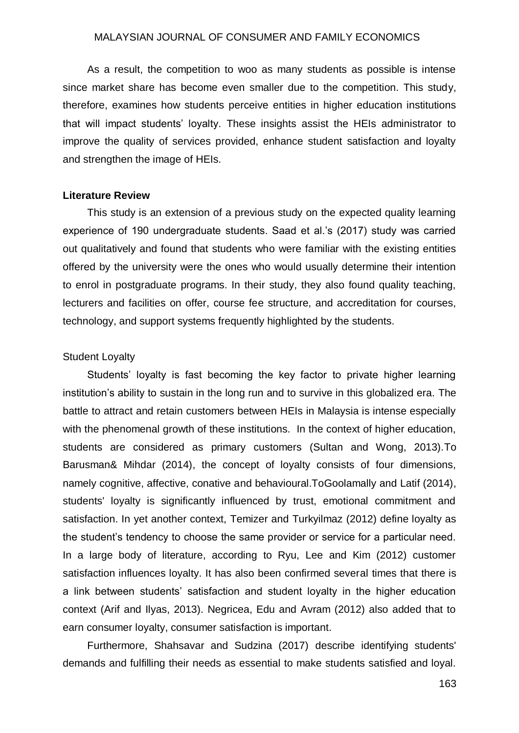As a result, the competition to woo as many students as possible is intense since market share has become even smaller due to the competition. This study, therefore, examines how students perceive entities in higher education institutions that will impact students' loyalty. These insights assist the HEIs administrator to improve the quality of services provided, enhance student satisfaction and loyalty and strengthen the image of HEIs.

#### **Literature Review**

This study is an extension of a previous study on the expected quality learning experience of 190 undergraduate students. Saad et al.'s (2017) study was carried out qualitatively and found that students who were familiar with the existing entities offered by the university were the ones who would usually determine their intention to enrol in postgraduate programs. In their study, they also found quality teaching, lecturers and facilities on offer, course fee structure, and accreditation for courses, technology, and support systems frequently highlighted by the students.

#### Student Loyalty

Students' loyalty is fast becoming the key factor to private higher learning institution's ability to sustain in the long run and to survive in this globalized era. The battle to attract and retain customers between HEIs in Malaysia is intense especially with the phenomenal growth of these institutions. In the context of higher education, students are considered as primary customers (Sultan and Wong, 2013).To Barusman& Mihdar (2014), the concept of loyalty consists of four dimensions, namely cognitive, affective, conative and behavioural.ToGoolamally and Latif (2014), students' loyalty is significantly influenced by trust, emotional commitment and satisfaction. In yet another context, Temizer and Turkyilmaz (2012) define loyalty as the student's tendency to choose the same provider or service for a particular need. In a large body of literature, according to Ryu, Lee and Kim (2012) customer satisfaction influences loyalty. It has also been confirmed several times that there is a link between students' satisfaction and student loyalty in the higher education context (Arif and Ilyas, 2013). Negricea, Edu and Avram (2012) also added that to earn consumer loyalty, consumer satisfaction is important.

Furthermore, Shahsavar and Sudzina (2017) describe identifying students' demands and fulfilling their needs as essential to make students satisfied and loyal.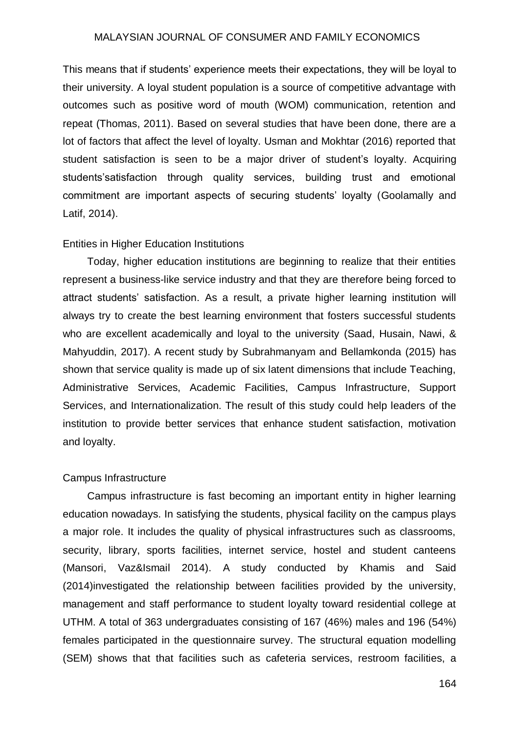This means that if students' experience meets their expectations, they will be loyal to their university. A loyal student population is a source of competitive advantage with outcomes such as positive word of mouth (WOM) communication, retention and repeat (Thomas, 2011). Based on several studies that have been done, there are a lot of factors that affect the level of loyalty. Usman and Mokhtar (2016) reported that student satisfaction is seen to be a major driver of student's loyalty. Acquiring students'satisfaction through quality services, building trust and emotional commitment are important aspects of securing students' loyalty (Goolamally and Latif, 2014).

#### Entities in Higher Education Institutions

Today, higher education institutions are beginning to realize that their entities represent a business-like service industry and that they are therefore being forced to attract students' satisfaction. As a result, a private higher learning institution will always try to create the best learning environment that fosters successful students who are excellent academically and loyal to the university (Saad, Husain, Nawi, & Mahyuddin, 2017). A recent study by Subrahmanyam and Bellamkonda (2015) has shown that service quality is made up of six latent dimensions that include Teaching, Administrative Services, Academic Facilities, Campus Infrastructure, Support Services, and Internationalization. The result of this study could help leaders of the institution to provide better services that enhance student satisfaction, motivation and loyalty.

#### Campus Infrastructure

Campus infrastructure is fast becoming an important entity in higher learning education nowadays. In satisfying the students, physical facility on the campus plays a major role. It includes the quality of physical infrastructures such as classrooms, security, library, sports facilities, internet service, hostel and student canteens (Mansori, Vaz&Ismail 2014). A study conducted by Khamis and Said (2014)investigated the relationship between facilities provided by the university, management and staff performance to student loyalty toward residential college at UTHM. A total of 363 undergraduates consisting of 167 (46%) males and 196 (54%) females participated in the questionnaire survey. The structural equation modelling (SEM) shows that that facilities such as cafeteria services, restroom facilities, a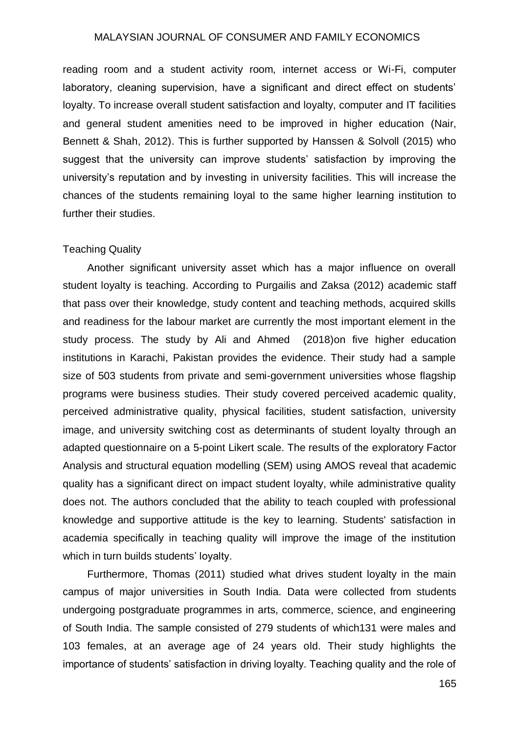reading room and a student activity room, internet access or Wi-Fi, computer laboratory, cleaning supervision, have a significant and direct effect on students' loyalty. To increase overall student satisfaction and loyalty, computer and IT facilities and general student amenities need to be improved in higher education (Nair, Bennett & Shah, 2012). This is further supported by Hanssen & Solvoll (2015) who suggest that the university can improve students' satisfaction by improving the university's reputation and by investing in university facilities. This will increase the chances of the students remaining loyal to the same higher learning institution to further their studies.

#### Teaching Quality

Another significant university asset which has a major influence on overall student loyalty is teaching. According to Purgailis and Zaksa (2012) academic staff that pass over their knowledge, study content and teaching methods, acquired skills and readiness for the labour market are currently the most important element in the study process. The study by Ali and Ahmed (2018)on five higher education institutions in Karachi, Pakistan provides the evidence. Their study had a sample size of 503 students from private and semi-government universities whose flagship programs were business studies. Their study covered perceived academic quality, perceived administrative quality, physical facilities, student satisfaction, university image, and university switching cost as determinants of student loyalty through an adapted questionnaire on a 5-point Likert scale. The results of the exploratory Factor Analysis and structural equation modelling (SEM) using AMOS reveal that academic quality has a significant direct on impact student loyalty, while administrative quality does not. The authors concluded that the ability to teach coupled with professional knowledge and supportive attitude is the key to learning. Students' satisfaction in academia specifically in teaching quality will improve the image of the institution which in turn builds students' loyalty.

Furthermore, Thomas (2011) studied what drives student loyalty in the main campus of major universities in South India. Data were collected from students undergoing postgraduate programmes in arts, commerce, science, and engineering of South India. The sample consisted of 279 students of which131 were males and 103 females, at an average age of 24 years old. Their study highlights the importance of students' satisfaction in driving loyalty. Teaching quality and the role of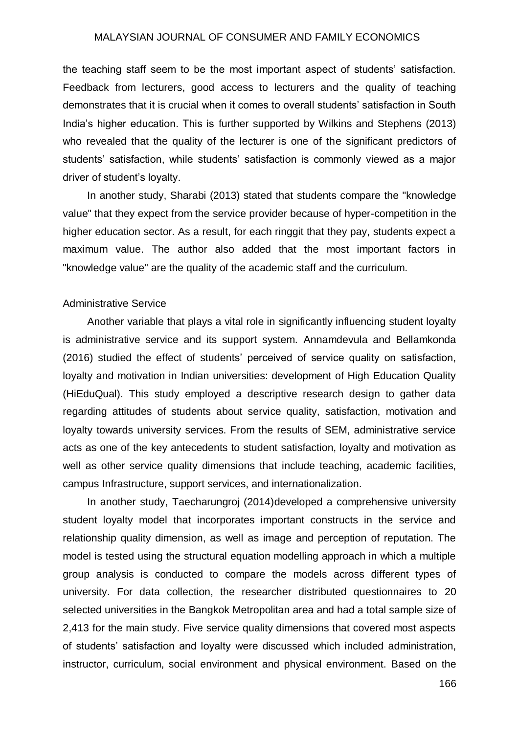the teaching staff seem to be the most important aspect of students' satisfaction. Feedback from lecturers, good access to lecturers and the quality of teaching demonstrates that it is crucial when it comes to overall students' satisfaction in South India's higher education. This is further supported by Wilkins and Stephens (2013) who revealed that the quality of the lecturer is one of the significant predictors of students' satisfaction, while students' satisfaction is commonly viewed as a major driver of student's loyalty.

In another study, Sharabi (2013) stated that students compare the "knowledge value" that they expect from the service provider because of hyper-competition in the higher education sector. As a result, for each ringgit that they pay, students expect a maximum value. The author also added that the most important factors in "knowledge value" are the quality of the academic staff and the curriculum.

#### Administrative Service

Another variable that plays a vital role in significantly influencing student loyalty is administrative service and its support system. Annamdevula and Bellamkonda (2016) studied the effect of students' perceived of service quality on satisfaction, loyalty and motivation in Indian universities: development of High Education Quality (HiEduQual). This study employed a descriptive research design to gather data regarding attitudes of students about service quality, satisfaction, motivation and loyalty towards university services. From the results of SEM, administrative service acts as one of the key antecedents to student satisfaction, loyalty and motivation as well as other service quality dimensions that include teaching, academic facilities, campus Infrastructure, support services, and internationalization.

In another study, Taecharungroj (2014)developed a comprehensive university student loyalty model that incorporates important constructs in the service and relationship quality dimension, as well as image and perception of reputation. The model is tested using the structural equation modelling approach in which a multiple group analysis is conducted to compare the models across different types of university. For data collection, the researcher distributed questionnaires to 20 selected universities in the Bangkok Metropolitan area and had a total sample size of 2,413 for the main study. Five service quality dimensions that covered most aspects of students' satisfaction and loyalty were discussed which included administration, instructor, curriculum, social environment and physical environment. Based on the

166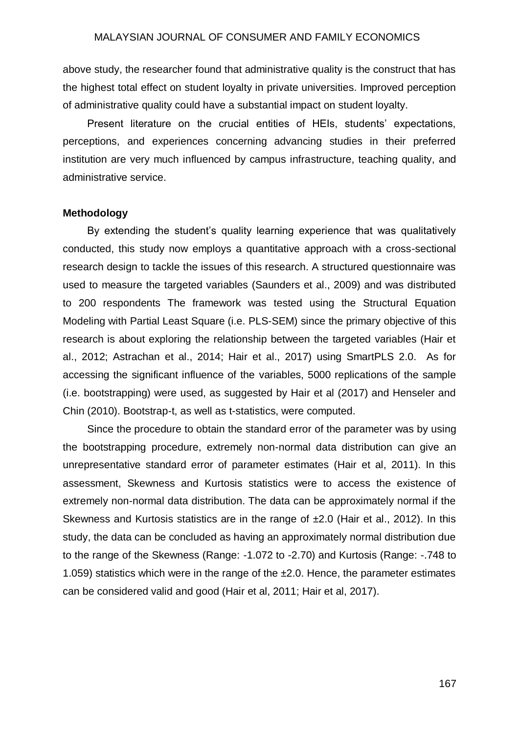above study, the researcher found that administrative quality is the construct that has the highest total effect on student loyalty in private universities. Improved perception of administrative quality could have a substantial impact on student loyalty.

Present literature on the crucial entities of HEIs, students' expectations, perceptions, and experiences concerning advancing studies in their preferred institution are very much influenced by campus infrastructure, teaching quality, and administrative service.

#### **Methodology**

By extending the student's quality learning experience that was qualitatively conducted, this study now employs a quantitative approach with a cross-sectional research design to tackle the issues of this research. A structured questionnaire was used to measure the targeted variables (Saunders et al., 2009) and was distributed to 200 respondents The framework was tested using the Structural Equation Modeling with Partial Least Square (i.e. PLS-SEM) since the primary objective of this research is about exploring the relationship between the targeted variables (Hair et al., 2012; Astrachan et al., 2014; Hair et al., 2017) using SmartPLS 2.0. As for accessing the significant influence of the variables, 5000 replications of the sample (i.e. bootstrapping) were used, as suggested by Hair et al (2017) and Henseler and Chin (2010). Bootstrap-t, as well as t-statistics, were computed.

Since the procedure to obtain the standard error of the parameter was by using the bootstrapping procedure, extremely non-normal data distribution can give an unrepresentative standard error of parameter estimates (Hair et al, 2011). In this assessment, Skewness and Kurtosis statistics were to access the existence of extremely non-normal data distribution. The data can be approximately normal if the Skewness and Kurtosis statistics are in the range of ±2.0 (Hair et al., 2012). In this study, the data can be concluded as having an approximately normal distribution due to the range of the Skewness (Range: -1.072 to -2.70) and Kurtosis (Range: -.748 to 1.059) statistics which were in the range of the ±2.0. Hence, the parameter estimates can be considered valid and good (Hair et al, 2011; Hair et al, 2017).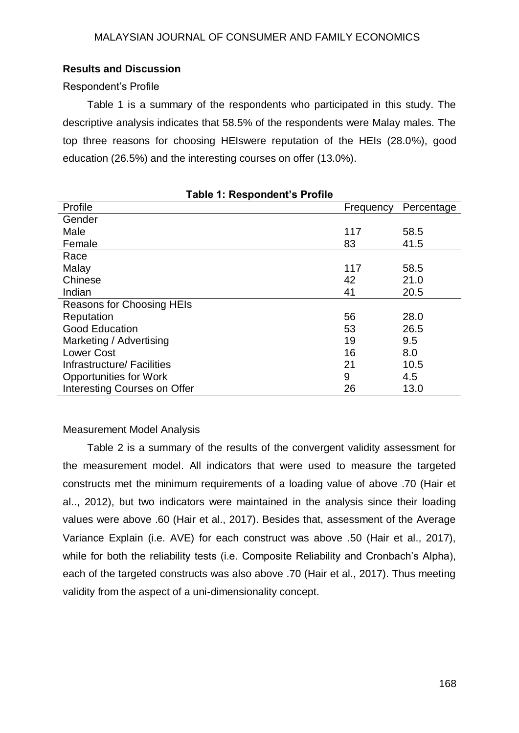## **Results and Discussion**

## Respondent's Profile

Table 1 is a summary of the respondents who participated in this study. The descriptive analysis indicates that 58.5% of the respondents were Malay males. The top three reasons for choosing HEIswere reputation of the HEIs (28.0%), good education (26.5%) and the interesting courses on offer (13.0%).

| able 1. Respondent s Frome    |           |            |  |  |  |  |  |
|-------------------------------|-----------|------------|--|--|--|--|--|
| Profile                       | Frequency | Percentage |  |  |  |  |  |
| Gender                        |           |            |  |  |  |  |  |
| Male                          | 117       | 58.5       |  |  |  |  |  |
| Female                        | 83        | 41.5       |  |  |  |  |  |
| Race                          |           |            |  |  |  |  |  |
| Malay                         | 117       | 58.5       |  |  |  |  |  |
| Chinese                       | 42        | 21.0       |  |  |  |  |  |
| Indian                        | 41        | 20.5       |  |  |  |  |  |
| Reasons for Choosing HEIs     |           |            |  |  |  |  |  |
| Reputation                    | 56        | 28.0       |  |  |  |  |  |
| <b>Good Education</b>         | 53        | 26.5       |  |  |  |  |  |
| Marketing / Advertising       | 19        | 9.5        |  |  |  |  |  |
| <b>Lower Cost</b>             | 16        | 8.0        |  |  |  |  |  |
| Infrastructure/ Facilities    | 21        | 10.5       |  |  |  |  |  |
| <b>Opportunities for Work</b> | 9         | 4.5        |  |  |  |  |  |
| Interesting Courses on Offer  | 26        | 13.0       |  |  |  |  |  |

**Table 1: Respondent's Profile**

## Measurement Model Analysis

Table 2 is a summary of the results of the convergent validity assessment for the measurement model. All indicators that were used to measure the targeted constructs met the minimum requirements of a loading value of above .70 (Hair et al.., 2012), but two indicators were maintained in the analysis since their loading values were above .60 (Hair et al., 2017). Besides that, assessment of the Average Variance Explain (i.e. AVE) for each construct was above .50 (Hair et al., 2017), while for both the reliability tests (i.e. Composite Reliability and Cronbach's Alpha), each of the targeted constructs was also above .70 (Hair et al., 2017). Thus meeting validity from the aspect of a uni-dimensionality concept.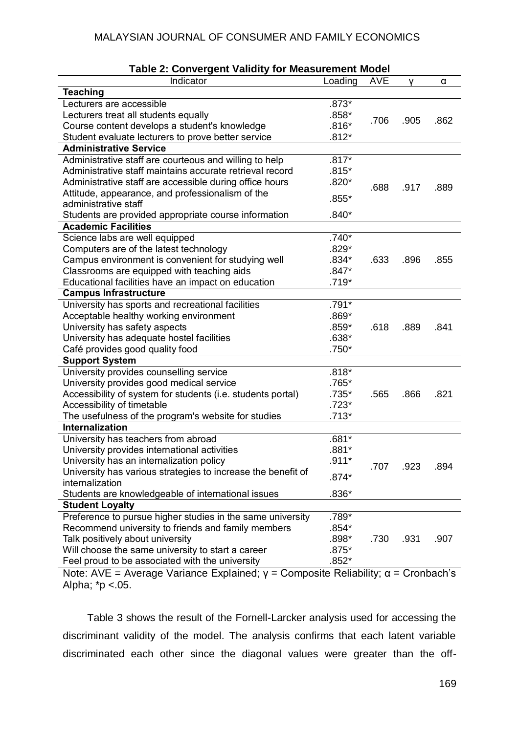| <b>Table 2: Convergent Validity for Measurement Model</b>    |         |            |      |      |  |  |  |
|--------------------------------------------------------------|---------|------------|------|------|--|--|--|
| Indicator                                                    | Loading | <b>AVE</b> | v    | α    |  |  |  |
| <b>Teaching</b>                                              |         |            |      |      |  |  |  |
| Lecturers are accessible                                     | $.873*$ |            |      |      |  |  |  |
| Lecturers treat all students equally                         | $.858*$ |            |      |      |  |  |  |
| Course content develops a student's knowledge                | $.816*$ | .706       | .905 | .862 |  |  |  |
| Student evaluate lecturers to prove better service           | $.812*$ |            |      |      |  |  |  |
| <b>Administrative Service</b>                                |         |            |      |      |  |  |  |
| Administrative staff are courteous and willing to help       | $.817*$ |            |      |      |  |  |  |
| Administrative staff maintains accurate retrieval record     | $.815*$ |            |      |      |  |  |  |
| Administrative staff are accessible during office hours      | $.820*$ | .688       | .917 | .889 |  |  |  |
| Attitude, appearance, and professionalism of the             |         |            |      |      |  |  |  |
| administrative staff                                         | $.855*$ |            |      |      |  |  |  |
| Students are provided appropriate course information         | $.840*$ |            |      |      |  |  |  |
| <b>Academic Facilities</b>                                   |         |            |      |      |  |  |  |
| Science labs are well equipped                               | $.740*$ |            |      |      |  |  |  |
| Computers are of the latest technology                       | $.829*$ |            |      |      |  |  |  |
| Campus environment is convenient for studying well           | $.834*$ | .633       | .896 | .855 |  |  |  |
| Classrooms are equipped with teaching aids                   | $.847*$ |            |      |      |  |  |  |
| Educational facilities have an impact on education           | $.719*$ |            |      |      |  |  |  |
| <b>Campus Infrastructure</b>                                 |         |            |      |      |  |  |  |
| University has sports and recreational facilities            | .791*   |            |      |      |  |  |  |
| Acceptable healthy working environment                       | $.869*$ |            |      |      |  |  |  |
| University has safety aspects                                | $.859*$ | .618       | .889 | .841 |  |  |  |
| University has adequate hostel facilities                    | $.638*$ |            |      |      |  |  |  |
| Café provides good quality food                              | $.750*$ |            |      |      |  |  |  |
| <b>Support System</b>                                        |         |            |      |      |  |  |  |
| University provides counselling service                      | $.818*$ |            |      |      |  |  |  |
| University provides good medical service                     | .765*   |            |      |      |  |  |  |
| Accessibility of system for students (i.e. students portal)  | .735*   | .565       | .866 | .821 |  |  |  |
| Accessibility of timetable                                   | $.723*$ |            |      |      |  |  |  |
| The usefulness of the program's website for studies          | $.713*$ |            |      |      |  |  |  |
| <b>Internalization</b>                                       |         |            |      |      |  |  |  |
| University has teachers from abroad                          | $.681*$ |            |      |      |  |  |  |
| University provides international activities                 | $.881*$ |            |      |      |  |  |  |
| University has an internalization policy                     | $.911*$ | .707       | .923 | .894 |  |  |  |
| University has various strategies to increase the benefit of | $.874*$ |            |      |      |  |  |  |
| internalization                                              |         |            |      |      |  |  |  |
| Students are knowledgeable of international issues           | $.836*$ |            |      |      |  |  |  |
| <b>Student Loyalty</b>                                       |         |            |      |      |  |  |  |
| Preference to pursue higher studies in the same university   | .789*   |            |      |      |  |  |  |
| Recommend university to friends and family members           | $.854*$ |            |      |      |  |  |  |
| Talk positively about university                             | $.898*$ | .730       | .931 | .907 |  |  |  |
| Will choose the same university to start a career            | $.875*$ |            |      |      |  |  |  |
| Feel proud to be associated with the university              | $.852*$ |            |      |      |  |  |  |

Note: AVE = Average Variance Explained; γ = Composite Reliability; α = Cronbach's Alpha; \*p <.05.

Table 3 shows the result of the Fornell-Larcker analysis used for accessing the discriminant validity of the model. The analysis confirms that each latent variable discriminated each other since the diagonal values were greater than the off-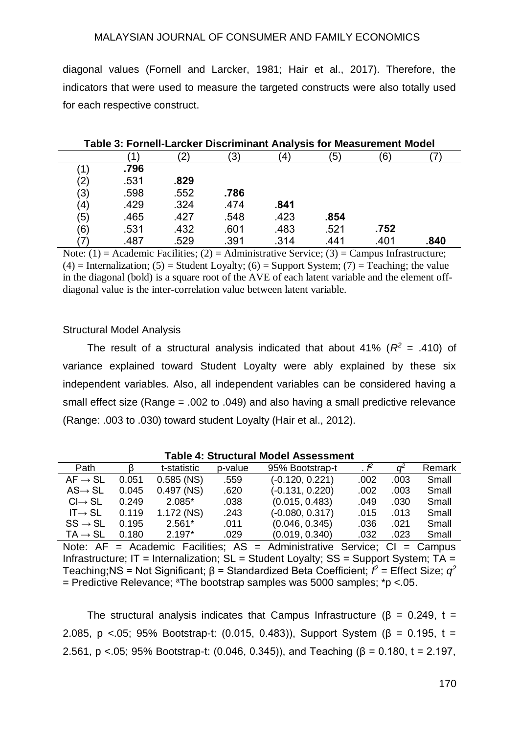diagonal values (Fornell and Larcker, 1981; Hair et al., 2017). Therefore, the indicators that were used to measure the targeted constructs were also totally used for each respective construct.

| Table 3: Fornell-Larcker Discriminant Analysis for Measurement Model |      |      |      |      |      |      |      |
|----------------------------------------------------------------------|------|------|------|------|------|------|------|
|                                                                      |      |      | '3)  | 4    | (5)  | 6)   |      |
|                                                                      | .796 |      |      |      |      |      |      |
| $\left( 2\right)$                                                    | .531 | .829 |      |      |      |      |      |
| (3)                                                                  | .598 | .552 | .786 |      |      |      |      |
| $\left( 4\right)$                                                    | .429 | .324 | .474 | .841 |      |      |      |
| (5)                                                                  | .465 | .427 | .548 | .423 | .854 |      |      |
| (6)                                                                  | .531 | .432 | .601 | .483 | .521 | .752 |      |
|                                                                      | .487 | .529 | .391 | .314 | .441 | .401 | .840 |

Note:  $(1)$  = Academic Facilities;  $(2)$  = Administrative Service;  $(3)$  = Campus Infrastructure;  $(4)$  = Internalization; (5) = Student Loyalty; (6) = Support System; (7) = Teaching; the value in the diagonal (bold) is a square root of the AVE of each latent variable and the element offdiagonal value is the inter-correlation value between latent variable.

#### Structural Model Analysis

The result of a structural analysis indicated that about 41% ( $R^2$  = .410) of variance explained toward Student Loyalty were ably explained by these six independent variables. Also, all independent variables can be considered having a small effect size (Range = .002 to .049) and also having a small predictive relevance (Range: .003 to .030) toward student Loyalty (Hair et al., 2012).

| TADIG 4. JU UCLUI AL MUUGI ASSESSITIGITU                                                     |       |              |         |                   |                        |      |        |
|----------------------------------------------------------------------------------------------|-------|--------------|---------|-------------------|------------------------|------|--------|
| Path                                                                                         |       | t-statistic  | p-value | 95% Bootstrap-t   | $\cdot$ $\mathbf{f}^2$ |      | Remark |
| $AF \rightarrow SL$                                                                          | 0.051 | $0.585$ (NS) | .559    | $(-0.120, 0.221)$ | .002                   | .003 | Small  |
| $AS \rightarrow SL$                                                                          | 0.045 | $0.497$ (NS) | .620    | $(-0.131, 0.220)$ | .002                   | .003 | Small  |
| $Cl \rightarrow SL$                                                                          | 0.249 | 2.085*       | .038    | (0.015, 0.483)    | .049                   | .030 | Small  |
| $IT \rightarrow SL$                                                                          | 0.119 | 1.172 (NS)   | .243    | $(-0.080, 0.317)$ | .015                   | .013 | Small  |
| $SS \rightarrow SL$                                                                          | 0.195 | $2.561*$     | .011    | (0.046, 0.345)    | .036                   | .021 | Small  |
| $TA \rightarrow SL$                                                                          | 0.180 | $2.197*$     | .029    | (0.019, 0.340)    | .032                   | .023 | Small  |
| Note: $AF = Academic$ Facilities; $AS = Administrative$ Service; $CI = Campus$               |       |              |         |                   |                        |      |        |
| Infrastructure; IT = Internalization; $SL = Student$ Loyalty; $SS = Support System$ ; $TA =$ |       |              |         |                   |                        |      |        |
|                                                                                              |       |              |         |                   |                        |      |        |

**Table 4: Structural Model Assessment**

Teaching;NS = Not Significant; β = Standardized Beta Coefficient;  $f^2$  = Effect Size;  $q^2$  $=$  Predictive Relevance; <sup>a</sup>The bootstrap samples was 5000 samples; \*p <.05.

The structural analysis indicates that Campus Infrastructure ( $\beta$  = 0.249, t = 2.085, p <.05; 95% Bootstrap-t: (0.015, 0.483)), Support System (β = 0.195, t = 2.561, p <.05; 95% Bootstrap-t: (0.046, 0.345)), and Teaching ( $\beta$  = 0.180, t = 2.197,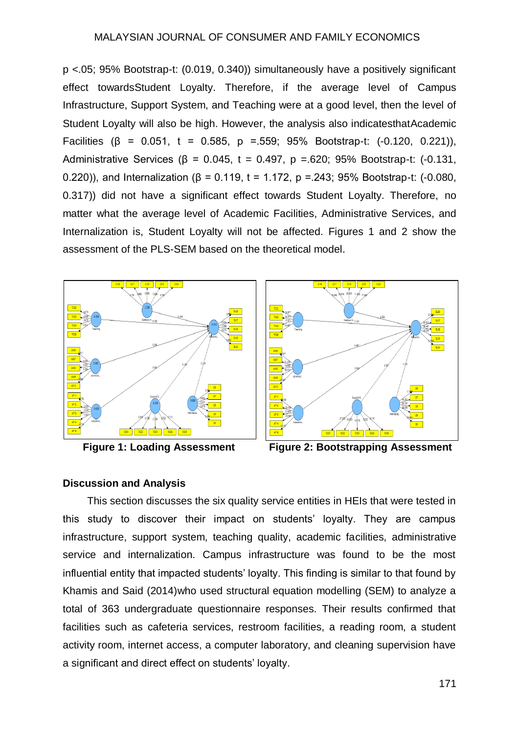p <.05; 95% Bootstrap-t: (0.019, 0.340)) simultaneously have a positively significant effect towardsStudent Loyalty. Therefore, if the average level of Campus Infrastructure, Support System, and Teaching were at a good level, then the level of Student Loyalty will also be high. However, the analysis also indicatesthatAcademic Facilities (β = 0.051, t = 0.585, p =.559; 95% Bootstrap-t:  $(-0.120, 0.221)$ ), Administrative Services (β = 0.045, t = 0.497, p =.620; 95% Bootstrap-t:  $(-0.131, ...)$ 0.220)), and Internalization (β = 0.119, t = 1.172, p = 243; 95% Bootstrap-t: (-0.080, 0.317)) did not have a significant effect towards Student Loyalty. Therefore, no matter what the average level of Academic Facilities, Administrative Services, and Internalization is, Student Loyalty will not be affected. Figures 1 and 2 show the assessment of the PLS-SEM based on the theoretical model.





**Figure 1: Loading Assessment Figure 2: Bootstrapping Assessment**

## **Discussion and Analysis**

This section discusses the six quality service entities in HEIs that were tested in this study to discover their impact on students' loyalty. They are campus infrastructure, support system, teaching quality, academic facilities, administrative service and internalization. Campus infrastructure was found to be the most influential entity that impacted students' loyalty. This finding is similar to that found by Khamis and Said (2014)who used structural equation modelling (SEM) to analyze a total of 363 undergraduate questionnaire responses. Their results confirmed that facilities such as cafeteria services, restroom facilities, a reading room, a student activity room, internet access, a computer laboratory, and cleaning supervision have a significant and direct effect on students' loyalty.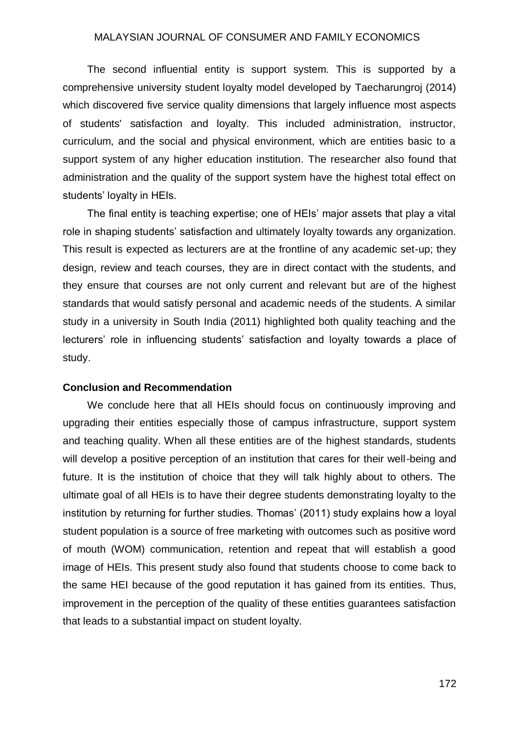The second influential entity is support system. This is supported by a comprehensive university student loyalty model developed by Taecharungroj (2014) which discovered five service quality dimensions that largely influence most aspects of students' satisfaction and loyalty. This included administration, instructor, curriculum, and the social and physical environment, which are entities basic to a support system of any higher education institution. The researcher also found that administration and the quality of the support system have the highest total effect on students' loyalty in HEIs.

The final entity is teaching expertise; one of HEIs' major assets that play a vital role in shaping students' satisfaction and ultimately loyalty towards any organization. This result is expected as lecturers are at the frontline of any academic set-up; they design, review and teach courses, they are in direct contact with the students, and they ensure that courses are not only current and relevant but are of the highest standards that would satisfy personal and academic needs of the students. A similar study in a university in South India (2011) highlighted both quality teaching and the lecturers' role in influencing students' satisfaction and loyalty towards a place of study.

#### **Conclusion and Recommendation**

We conclude here that all HEIs should focus on continuously improving and upgrading their entities especially those of campus infrastructure, support system and teaching quality. When all these entities are of the highest standards, students will develop a positive perception of an institution that cares for their well-being and future. It is the institution of choice that they will talk highly about to others. The ultimate goal of all HEIs is to have their degree students demonstrating loyalty to the institution by returning for further studies. Thomas' (2011) study explains how a loyal student population is a source of free marketing with outcomes such as positive word of mouth (WOM) communication, retention and repeat that will establish a good image of HEIs. This present study also found that students choose to come back to the same HEI because of the good reputation it has gained from its entities. Thus, improvement in the perception of the quality of these entities guarantees satisfaction that leads to a substantial impact on student loyalty.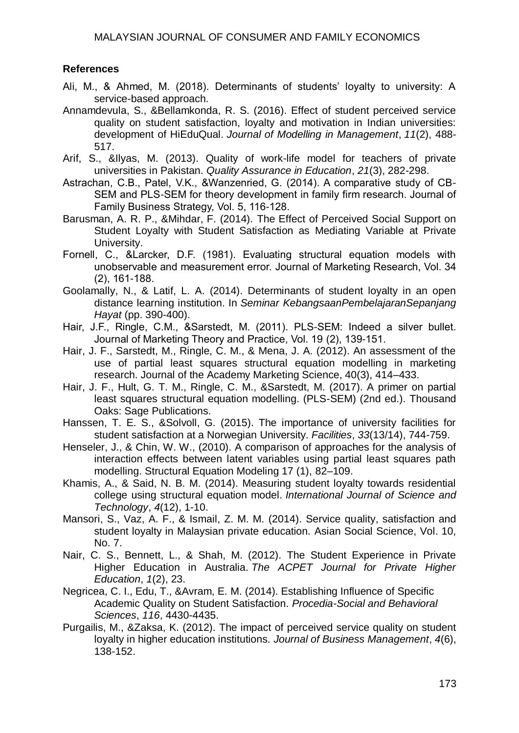## **References**

- Ali, M., & Ahmed, M. (2018). Determinants of students' loyalty to university: A service-based approach.
- Annamdevula, S., &Bellamkonda, R. S. (2016). Effect of student perceived service quality on student satisfaction, loyalty and motivation in Indian universities: development of HiEduQual. *Journal of Modelling in Management*, *11*(2), 488- 517.
- Arif, S., &Ilyas, M. (2013). Quality of work-life model for teachers of private universities in Pakistan. *Quality Assurance in Education*, *21*(3), 282-298.
- Astrachan, C.B., Patel, V.K., &Wanzenried, G. (2014). A comparative study of CB-SEM and PLS-SEM for theory development in family firm research. Journal of Family Business Strategy, Vol. 5, 116-128.
- Barusman, A. R. P., &Mihdar, F. (2014). The Effect of Perceived Social Support on Student Loyalty with Student Satisfaction as Mediating Variable at Private University.
- Fornell, C., &Larcker, D.F. (1981). Evaluating structural equation models with unobservable and measurement error. Journal of Marketing Research, Vol. 34 (2), 161-188.
- Goolamally, N., & Latif, L. A. (2014). Determinants of student loyalty in an open distance learning institution. In *Seminar KebangsaanPembelajaranSepanjang Hayat* (pp. 390-400).
- Hair, J.F., Ringle, C.M., &Sarstedt, M. (2011). PLS-SEM: Indeed a silver bullet. Journal of Marketing Theory and Practice, Vol. 19 (2), 139-151.
- Hair, J. F., Sarstedt, M., Ringle, C. M., & Mena, J. A. (2012). An assessment of the use of partial least squares structural equation modelling in marketing research. Journal of the Academy Marketing Science, 40(3), 414–433.
- Hair, J. F., Hult, G. T. M., Ringle, C. M., &Sarstedt, M. (2017). A primer on partial least squares structural equation modelling. (PLS-SEM) (2nd ed.). Thousand Oaks: Sage Publications.
- Hanssen, T. E. S., &Solvoll, G. (2015). The importance of university facilities for student satisfaction at a Norwegian University. *Facilities*, *33*(13/14), 744-759.
- Henseler, J., & Chin, W. W., (2010). A comparison of approaches for the analysis of interaction effects between latent variables using partial least squares path modelling. Structural Equation Modeling 17 (1), 82–109.
- Khamis, A., & Said, N. B. M. (2014). Measuring student loyalty towards residential college using structural equation model. *International Journal of Science and Technology*, *4*(12), 1-10.
- Mansori, S., Vaz, A. F., & Ismail, Z. M. M. (2014). Service quality, satisfaction and student loyalty in Malaysian private education. Asian Social Science, Vol. 10, No. 7.
- Nair, C. S., Bennett, L., & Shah, M. (2012). The Student Experience in Private Higher Education in Australia. *The ACPET Journal for Private Higher Education*, *1*(2), 23.
- Negricea, C. I., Edu, T., &Avram, E. M. (2014). Establishing Influence of Specific Academic Quality on Student Satisfaction. *Procedia-Social and Behavioral Sciences*, *116*, 4430-4435.
- Purgailis, M., &Zaksa, K. (2012). The impact of perceived service quality on student loyalty in higher education institutions. *Journal of Business Management*, *4*(6), 138-152.